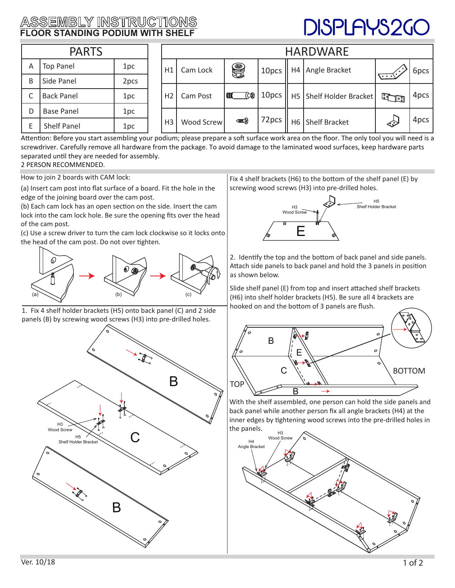## **ASSEMBLY INSTRUCTIONS FLOOR STANDING PODIUM WITH SHELF**

## DISPLAYS2GC

| <b>PARTS</b> |                    |      |  | <b>HARDWARE</b> |            |                        |       |                |                           |               |      |
|--------------|--------------------|------|--|-----------------|------------|------------------------|-------|----------------|---------------------------|---------------|------|
| A            | <b>Top Panel</b>   | 1pc  |  | H1              | Cam Lock   | HO                     | 10pcs | H4             | Angle Bracket             |               | 6pcs |
| B            | Side Panel         | 2pcs |  |                 |            |                        |       |                |                           | い・・           |      |
| C            | <b>Back Panel</b>  | 1pc  |  | H <sub>2</sub>  | Cam Post   | (CR)<br>$\blacksquare$ | 10pcs |                | H5   Shelf Holder Bracket | <b>Le Hon</b> | 4pcs |
| D            | <b>Base Panel</b>  | 1pc  |  |                 |            |                        |       |                |                           |               |      |
| E            | <b>Shelf Panel</b> | 1pc  |  | H <sub>3</sub>  | Wood Screw | <b>⊲nn</b> (2)         | 72pcs | H <sub>6</sub> | <b>Shelf Bracket</b>      | $\ll$         | 4pcs |

Attention: Before you start assembling your podium; please prepare a soft surface work area on the floor. The only tool you will need is a screwdriver. Carefully remove all hardware from the package. To avoid damage to the laminated wood surfaces, keep hardware parts separated until they are needed for assembly.

## 2 PERSON RECOMMENDED.

How to join 2 boards with CAM lock:

(a) Insert cam post into flat surface of a board. Fit the hole in the edge of the joining board over the cam post.

(b) Each cam lock has an open section on the side. Insert the cam lock into the cam lock hole. Be sure the opening fits over the head of the cam post.

(c) Use a screw driver to turn the cam lock clockwise so it locks onto the head of the cam post. Do not over tighten.



1. Fix 4 shelf holder brackets (H5) onto back panel (C) and 2 side panels (B) by screwing wood screws (H3) into pre-drilled holes.



Fix 4 shelf brackets (H6) to the bottom of the shelf panel (E) by screwing wood screws (H3) into pre-drilled holes.



2. Identify the top and the bottom of back panel and side panels. Attach side panels to back panel and hold the 3 panels in position as shown below.

Slide shelf panel (E) from top and insert attached shelf brackets (H6) into shelf holder brackets (H5). Be sure all 4 brackets are hooked on and the bottom of 3 panels are flush.



With the shelf assembled, one person can hold the side panels and back panel while another person fix all angle brackets (H4) at the inner edges by tightening wood screws into the pre-drilled holes in the panels.